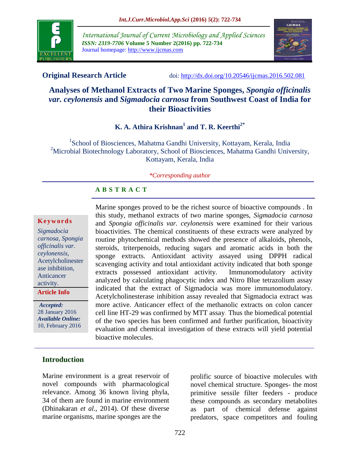

*International Journal of Current Microbiology and Applied Sciences ISSN: 2319-7706* **Volume 5 Number 2(2016) pp. 722-734** Journal homepage: http://www.ijcmas.com



**Original Research Article** doi: [http://dx.doi.org/10.20546/ijcmas.2016.502.081](http://dx.doi.org/10.20546/ijcmas.2016.501.081)

# **Analyses of Methanol Extracts of Two Marine Sponges,** *Spongia officinalis var. ceylonensis* **and** *Sigmadocia carnosa* **from Southwest Coast of India for their Bioactivities**

# **K. A. Athira Krishnan<sup>1</sup> and T. R. Keerthi2\***

<sup>1</sup>School of Biosciences, Mahatma Gandhi University, Kottayam, Kerala, India <sup>2</sup>Microbial Biotechnology Laboratory, School of Biosciences, Mahatma Gandhi University, Kottayam, Kerala, India

#### *\*Corresponding author*

# **A B S T R A C T**

#### **K e y w o r d s**

*Sigmadocia carnosa, Spongia officinalis var. ceylonensis*, Acetylcholinester ase inhibition, Anticancer activity.

**Article Info**

*Accepted:*  28 January 2016 *Available Online:* 10, February 2016 Marine sponges proved to be the richest source of bioactive compounds . In this study, methanol extracts of two marine sponges, *Sigmadocia carnosa* and *Spongia officinalis var. ceylonensis* were examined for their various bioactivities. The chemical constituents of these extracts were analyzed by routine phytochemical methods showed the presence of alkaloids, phenols, steroids, triterpenoids, reducing sugars and aromatic acids in both the sponge extracts. Antioxidant activity assayed using DPPH radical scavenging activity and total antioxidant activity indicated that both sponge extracts possessed antioxidant activity. Immunomodulatory activity analyzed by calculating phagocytic index and Nitro Blue tetrazolium assay indicated that the extract of Sigmadocia was more immunomodulatory. Acetylcholinesterase inhibition assay revealed that Sigmadocia extract was more active. Anticancer effect of the methanolic extracts on colon cancer cell line HT-29 was confirmed by MTT assay. Thus the biomedical potential of the two species has been confirmed and further purification, bioactivity evaluation and chemical investigation of these extracts will yield potential bioactive molecules.

# **Introduction**

Marine environment is a great reservoir of novel compounds with pharmacological relevance. Among 36 known living phyla, 34 of them are found in marine environment (Dhinakaran *et al*., 2014). Of these diverse marine organisms, marine sponges are the

prolific source of bioactive molecules with novel chemical structure. Sponges- the most primitive sessile filter feeders - produce these compounds as secondary metabolites as part of chemical defense against predators, space competitors and fouling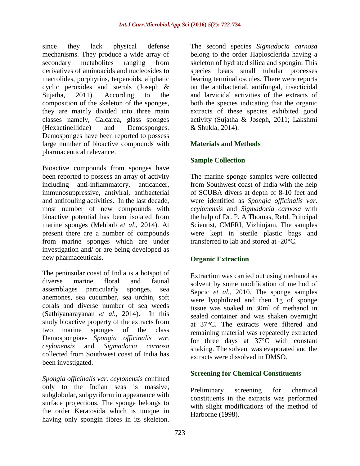since they lack physical defense mechanisms. They produce a wide array of secondary metabolites ranging from derivatives of aminoacids and nucleosides to macrolides, porphyrins, terpenoids, aliphatic cyclic peroxides and sterols (Joseph & Sujatha, 2011). According to the composition of the skeleton of the sponges, they are mainly divided into three main classes namely, Calcarea, glass sponges (Hexactinellidae) and Demosponges. Demosponges have been reported to possess large number of bioactive compounds with pharmaceutical relevance.

Bioactive compounds from sponges have been reported to possess an array of activity including anti-inflammatory, anticancer, immunosuppressive, antiviral, antibacterial and antifouling activities. In the last decade, most number of new compounds with bioactive potential has been isolated from marine sponges (Mehbub *et al*., 2014). At present there are a number of compounds from marine sponges which are under investigation and/ or are being developed as new pharmaceuticals.

The peninsular coast of India is a hotspot of diverse marine floral and faunal assemblages particularly sponges, sea anemones, sea cucumber, sea urchin, soft corals and diverse number of sea weeds (Sathiyanarayanan *et al.,* 2014). In this study bioactive property of the extracts from two marine sponges of the class Demospongiae- *Spongia officinalis var. ceylonensis* and *Sigmadocia carnosa* collected from Southwest coast of India has been investigated.

*Spongia officinalis var. ceylonensis* confined only to the Indian seas is massive, subglobular, subpyriform in appearance with surface projections. The sponge belongs to the order Keratosida which is unique in having only spongin fibres in its skeleton.

The second species *Sigmadocia carnosa*  belong to the order Haplosclerida having a skeleton of hydrated silica and spongin. This species bears small tubular processes bearing terminal oscules. There were reports on the antibacterial, antifungal, insecticidal and larvicidal activities of the extracts of both the species indicating that the organic extracts of these species exhibited good activity (Sujatha & Joseph, 2011; Lakshmi & Shukla, 2014).

# **Materials and Methods**

# **Sample Collection**

The marine sponge samples were collected from Southwest coast of India with the help of SCUBA divers at depth of 8-10 feet and were identified as *Spongia officinalis var. ceylonensis* and *Sigmadocia carnosa* with the help of Dr. P. A Thomas, Retd. Principal Scientist, CMFRI, Vizhinjam. The samples were kept in sterile plastic bags and transferred to lab and stored at -20°C.

# **Organic Extraction**

Extraction was carried out using methanol as solvent by some modification of method of Sepcic *et al.,* 2010. The sponge samples were lyophilized and then 1g of sponge tissue was soaked in 30ml of methanol in sealed container and was shaken overnight at 37°C. The extracts were filtered and remaining material was repeatedly extracted for three days at 37°C with constant shaking. The solvent was evaporated and the extracts were dissolved in DMSO.

# **Screening for Chemical Constituents**

Preliminary screening for chemical constituents in the extracts was performed with slight modifications of the method of Harborne (1998).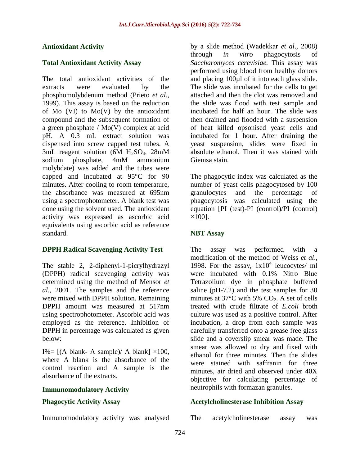### **Antioxidant Activity**

### **Total Antioxidant Activity Assay**

The total antioxidant activities of the extracts were evaluated by the phosphomolybdenum method (Prieto *et al*., 1999). This assay is based on the reduction of Mo  $(VI)$  to Mo $(V)$  by the antioxidant compound and the subsequent formation of a green phosphate / Mo(V) complex at acid pH. A 0.3 mL extract solution was dispensed into screw capped test tubes. A 3mL reagent solution (6M  $H<sub>2</sub>SO<sub>4</sub>$ , 28mM sodium phosphate, 4mM ammonium molybdate) was added and the tubes were capped and incubated at 95°C for 90 minutes. After cooling to room temperature, the absorbance was measured at 695nm using a spectrophotometer. A blank test was done using the solvent used. The antioxidant activity was expressed as ascorbic acid equivalents using ascorbic acid as reference standard.

# **DPPH Radical Scavenging Activity Test**

The stable 2, 2-diphenyl-1-picrylhydrazyl (DPPH) radical scavenging activity was determined using the method of Mensor *et al*., 2001. The samples and the reference were mixed with DPPH solution. Remaining DPPH amount was measured at 517nm using spectrophotometer. Ascorbic acid was employed as the reference. Inhibition of DPPH in percentage was calculated as given below:

I%=  $[(A blank- A sample)/ A blank] \times 100$ , where A blank is the absorbance of the control reaction and A sample is the absorbance of the extracts.

#### **Immunomodulatory Activity**

# **Phagocytic Activity Assay**

Immunomodulatory activity was analysed

by a slide method (Wadekkar *et al*., 2008) through *in vitro* phagocytosis of *Saccharomyces cerevisiae.* This assay was performed using blood from healthy donors and placing 100µl of it into each glass slide. The slide was incubated for the cells to get attached and then the clot was removed and the slide was flood with test sample and incubated for half an hour. The slide was then drained and flooded with a suspension of heat killed opsonised yeast cells and incubated for 1 hour. After draining the yeast suspension, slides were fixed in absolute ethanol. Then it was stained with Giemsa stain.

The phagocytic index was calculated as the number of yeast cells phagocytosed by 100 granulocytes and the percentage of phagocytosis was calculated using the equation [PI (test)-PI (control)/PI (control)  $\times$ 100].

#### **NBT Assay**

The assay was performed with a modification of the method of Weiss *et al*., 1998. For the assay,  $1x10^4$  leucocytes/ ml were incubated with 0.1% Nitro Blue Tetrazolium dye in phosphate buffered saline (pH-7.2) and the test samples for 30 minutes at  $37^{\circ}$ C with 5% CO<sub>2</sub>. A set of cells treated with crude filtrate of *E.coli* broth culture was used as a positive control. After incubation, a drop from each sample was carefully transferred onto a grease free glass slide and a coverslip smear was made. The smear was allowed to dry and fixed with ethanol for three minutes. Then the slides were stained with saffranin for three minutes, air dried and observed under 40X objective for calculating percentage of neutrophils with formazan granules.

#### **Acetylcholinesterase Inhibition Assay**

The acetylcholinesterase assay was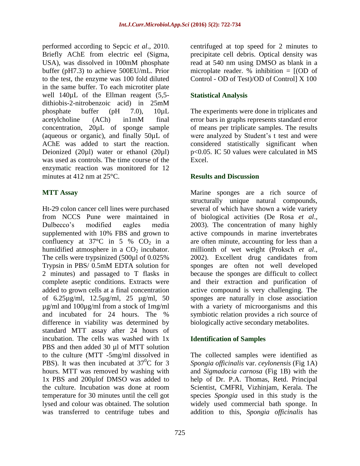performed according to Sepcic *et al*., 2010. Briefly AChE from electric eel (Sigma, USA), was dissolved in 100mM phosphate buffer (pH7.3) to achieve 500EU/mL. Prior to the test, the enzyme was 100 fold diluted in the same buffer. To each microtiter plate well 140µL of the Ellman reagent (5,5dithiobis-2-nitrobenzoic acid) in 25mM phosphate buffer (pH 7.0), 10µL acetylcholine (ACh) in1mM final concentration, 20µL of sponge sample (aqueous or organic), and finally 50µL of AChE was added to start the reaction. Deionized (20µl) water or ethanol (20µl) was used as controls. The time course of the enzymatic reaction was monitored for 12 minutes at 412 nm at 25°C.

# **MTT Assay**

Ht-29 colon cancer cell lines were purchased from NCCS Pune were maintained in Dulbecco's modified eagles media supplemented with 10% FBS and grown to confluency at  $37^{\circ}$ C in 5 % CO<sub>2</sub> in a humidified atmosphere in a  $CO<sub>2</sub>$  incubator. The cells were trypsinized (500µl of 0.025% Trypsin in PBS/ 0.5mM EDTA solution for 2 minutes) and passaged to T flasks in complete aseptic conditions. Extracts were added to grown cells at a final concentration of 6.25µg/ml, 12.5µg/ml, 25 µg/ml, 50 µg/ml and 100µg/ml from a stock of 1mg/ml and incubated for 24 hours. The % difference in viability was determined by standard MTT assay after 24 hours of incubation. The cells was washed with 1x PBS and then added 30 µl of MTT solution to the culture (MTT -5mg/ml dissolved in PBS). It was then incubated at  $37^0C$  for 3 hours. MTT was removed by washing with 1x PBS and 200µlof DMSO was added to the culture. Incubation was done at room temperature for 30 minutes until the cell got lysed and colour was obtained. The solution was transferred to centrifuge tubes and

centrifuged at top speed for 2 minutes to precipitate cell debris. Optical density was read at 540 nm using DMSO as blank in a microplate reader. % inhibition  $= [(OD \space of$ Control - OD of Test)/OD of Control] X 100

# **Statistical Analysis**

The experiments were done in triplicates and error bars in graphs represents standard error of means per triplicate samples. The results were analyzed by Student's t test and were considered statistically significant when p<0.05. IC 50 values were calculated in MS Excel.

# **Results and Discussion**

Marine sponges are a rich source of structurally unique natural compounds, several of which have shown a wide variety of biological activities (De Rosa *et al*., 2003). The concentration of many highly active compounds in marine invertebrates are often minute, accounting for less than a millionth of wet weight (Proksch *et al*., 2002). Excellent drug candidates from sponges are often not well developed because the sponges are difficult to collect and their extraction and purification of active compound is very challenging. The sponges are naturally in close association with a variety of microorganisms and this symbiotic relation provides a rich source of biologically active secondary metabolites.

# **Identification of Samples**

The collected samples were identified as *Spongia officinalis* var. *ceylonensis* (Fig 1A) and *Sigmadocia carnosa* (Fig 1B) with the help of Dr. P.A. Thomas, Retd. Principal Scientist, CMFRI, Vizhinjam, Kerala. The species *Spongia* used in this study is the widely used commercial bath sponge. In addition to this, *Spongia officinalis* has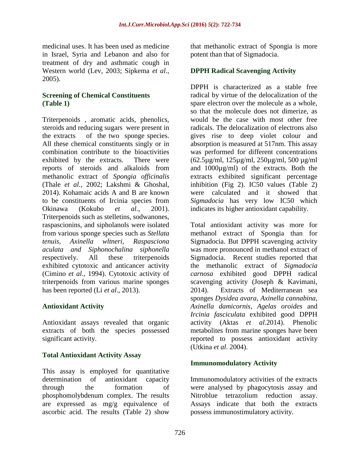medicinal uses. It has been used as medicine in Israel, Syria and Lebanon and also for treatment of dry and asthmatic cough in Western world (Lev, 2003; Sipkema *et al*., 2005).

# **Screening of Chemical Constituents (Table 1)**

Triterpenoids , aromatic acids, phenolics, steroids and reducing sugars were present in the extracts of the two sponge species. All these chemical constituents singly or in combination contribute to the bioactivities exhibited by the extracts. There were reports of steroids and alkaloids from methanolic extract of *Spongia officinalis* (Thale *et al.*, 2002; Lakshmi & Ghoshal, 2014). Kohamaic acids A and B are known to be constituents of Ircinia species from Okinawa (Kokubo *et al.*, 2001). Triterpenoids such as stelletins, sodwanones, raspascionins, and sipholanols were isolated from various sponge species such as *Stellata tenuis, Axinella wltneri, Raspasciona aculata and Siphonochalina siphonella* respectively. All these triterpenoids exhibited cytotoxic and anticancer activity (Cimino *et al*., 1994). Cytotoxic activity of triterpenoids from various marine sponges has been reported (Li *et al*., 2013).

# **Antioxidant Activity**

Antioxidant assays revealed that organic extracts of both the species possessed significant activity.

# **Total Antioxidant Activity Assay**

This assay is employed for quantitative determination of antioxidant capacity through the formation of phosphomolybdenum complex. The results are expressed as mg/g equivalence of ascorbic acid. The results (Table 2) show

that methanolic extract of Spongia is more potent than that of Sigmadocia.

# **DPPH Radical Scavenging Activity**

DPPH is characterized as a stable free radical by virtue of the delocalization of the spare electron over the molecule as a whole, so that the molecule does not dimerize, as would be the case with most other free radicals. The delocalization of electrons also gives rise to deep violet colour and absorption is measured at 517nm. This assay was performed for different concentrations (62.5µg/ml, 125µg/ml, 250µg/ml, 500 µg/ml and 1000µg/ml) of the extracts. Both the extracts exhibited significant percentage inhibition (Fig 2). IC50 values (Table 2) were calculated and it showed that *Sigmadocia* has very low IC50 which indicates its higher antioxidant capability.

Total antioxidant activity was more for methanol extract of Spongia than for Sigmadocia. But DPPH scavenging activity was more pronounced in methanol extract of Sigmadocia. Recent studies reported that the methanolic extract of *Sigmadocia carnosa* exhibited good DPPH radical scavenging activity (Joseph & Kavimani, 2014). Extracts of Mediterranean sea sponges *Dysidea avara*, *Axinella cannabina, Axinella damicornis, Agelas oroides* and *Ircinia fasciculata* exhibited good DPPH activity (Aktas *et al*.2014). Phenolic metabolites from marine sponges have been reported to possess antioxidant activity (Utkina *et al*. 2004).

# **Immunomodulatory Activity**

Immunomodulatory activities of the extracts were analysed by phagocytosis assay and Nitroblue tetrazolium reduction assay. Assays indicate that both the extracts possess immunostimulatory activity.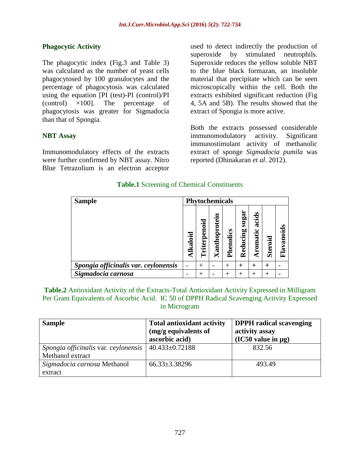# **Phagocytic Activity**

The phagocytic index (Fig.3 and Table 3) was calculated as the number of yeast cells phagocytosed by 100 granulocytes and the percentage of phagocytosis was calculated using the equation [PI (test)-PI (control)/PI (control) ×100]. The percentage of phagocytosis was greater for Sigmadocia than that of Spongia.

# **NBT Assay**

Immunomodulatory effects of the extracts were further confirmed by NBT assay. Nitro Blue Tetrazolium is an electron acceptor

used to detect indirectly the production of superoxide by stimulated neutrophils. Superoxide reduces the yellow soluble NBT to the blue black formazan, an insoluble material that precipitate which can be seen microscopically within the cell. Both the extracts exhibited significant reduction (Fig 4, 5A and 5B). The results showed that the extract of Spongia is more active.

Both the extracts possessed considerable immunomodulatory activity. Significant immunostimulant activity of methanolic extract of sponge *Sigmadocia pumila* was reported (Dhinakaran *et al*. 2012).

## **Table.1** Screening of Chemical Constituents

| <b>Sample</b>                        | <b>Phytochemicals</b> |                            |               |           |                   |                      |         |            |
|--------------------------------------|-----------------------|----------------------------|---------------|-----------|-------------------|----------------------|---------|------------|
|                                      | Alkaloid              | terpenoid<br>Έ<br>$\vdash$ | Xanthoprotein | Phenolics | sugai<br>Reducing | acids<br>ں<br>romati | Steroid | Flavanoids |
| Spongia officinalis var. ceylonensis |                       | $\,+\,$                    |               | ┿         | $\pm$             | $\pm$                |         |            |
| Sigmadocia carnosa                   |                       |                            |               | ┿         | +                 |                      |         |            |

**Table.2** Antioxidant Activity of the Extracts-Total Antioxidant Activity Expressed in Milligram Per Gram Equivalents of Ascorbic Acid. IC 50 of DPPH Radical Scavenging Activity Expressed in Microgram

| <b>Sample</b>                        | <b>Total antioxidant activity</b><br>(mg/g equivalents of<br>ascorbic acid) | <b>DPPH</b> radical scavenging<br>activity assay<br>(IC50 value in µg) |
|--------------------------------------|-----------------------------------------------------------------------------|------------------------------------------------------------------------|
| Spongia officinalis var. ceylonensis | $40.433 \pm 0.72188$                                                        | 832.56                                                                 |
| Methanol extract                     |                                                                             |                                                                        |
| Sigmadocia carnosa Methanol          | $66.33 \pm 3.38296$                                                         | 493.49                                                                 |
| extract                              |                                                                             |                                                                        |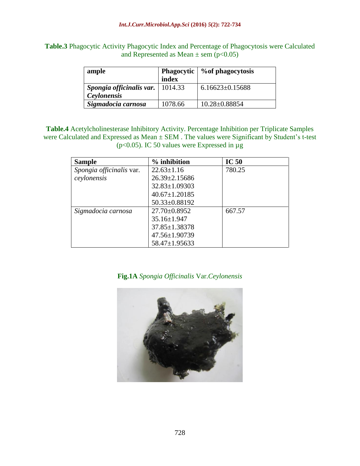**Table.3** Phagocytic Activity Phagocytic Index and Percentage of Phagocytosis were Calculated and Represented as Mean  $\pm$  sem (p<0.05)

| ample                              |         | Phagocytic   % of phagocytosis |  |  |
|------------------------------------|---------|--------------------------------|--|--|
|                                    | index   |                                |  |  |
| Spongia officinalis var.   1014.33 |         | $6.16623 \pm 0.15688$          |  |  |
| Ceylonensis                        |         |                                |  |  |
| Sigmadocia carnosa                 | 1078.66 | $10.28 \pm 0.88854$            |  |  |

**Table.4** Acetylcholinesterase Inhibitory Activity. Percentage Inhibition per Triplicate Samples were Calculated and Expressed as Mean  $\pm$  SEM. The values were Significant by Student's t-test (p<0.05). IC 50 values were Expressed in µg

| <b>Sample</b>            | % inhibition        | IC <sub>50</sub> |
|--------------------------|---------------------|------------------|
| Spongia officinalis var. | $22.63 \pm 1.16$    | 780.25           |
| ceylonensis              | 26.39±2.15686       |                  |
|                          | $32.83 \pm 1.09303$ |                  |
|                          | $40.67 \pm 1.20185$ |                  |
|                          | 50.33±0.88192       |                  |
| Sigmadocia carnosa       | $27.70 \pm 0.8952$  | 667.57           |
|                          | 35.16±1.947         |                  |
|                          | $37.85 \pm 1.38378$ |                  |
|                          | 47.56±1.90739       |                  |
|                          | 58.47±1.95633       |                  |

# **Fig.1A** *Spongia Officinalis* Var.*Ceylonensis*

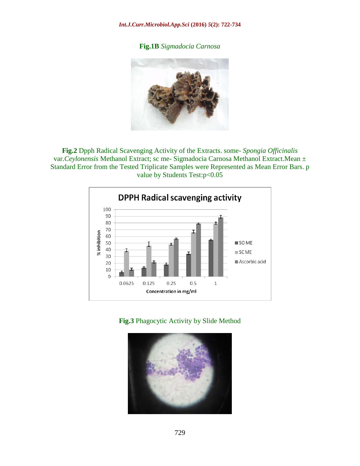**Fig.1B** *Sigmadocia Carnosa* 



**Fig.2** Dpph Radical Scavenging Activity of the Extracts. some- *Spongia Officinalis* var.*Ceylonensis* Methanol Extract; sc me- Sigmadocia Carnosa Methanol Extract.Mean ± Standard Error from the Tested Triplicate Samples were Represented as Mean Error Bars. p value by Students Test:p<0.05



**Fig.3** Phagocytic Activity by Slide Method

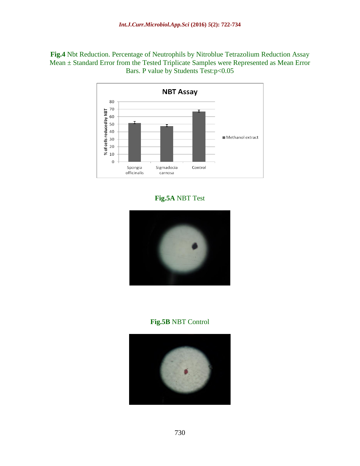**Fig.4** Nbt Reduction. Percentage of Neutrophils by Nitroblue Tetrazolium Reduction Assay Mean ± Standard Error from the Tested Triplicate Samples were Represented as Mean Error Bars. P value by Students Test:p<0.05



# **Fig.5A** NBT Test



# **Fig.5B** NBT Control

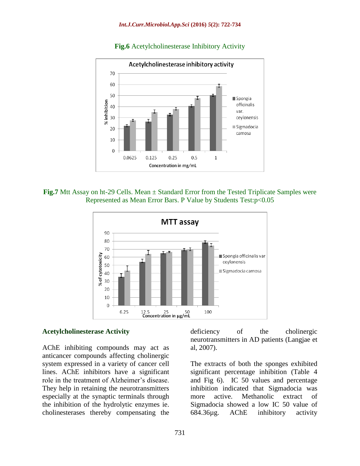

#### **Fig.6** Acetylcholinesterase Inhibitory Activity





#### **Acetylcholinesterase Activity**

AChE inhibiting compounds may act as anticancer compounds affecting cholinergic system expressed in a variety of cancer cell lines. AChE inhibitors have a significant role in the treatment of Alzheimer's disease. They help in retaining the neurotransmitters especially at the synaptic terminals through the inhibition of the hydrolytic enzymes ie. cholinesterases thereby compensating the

731

deficiency of the cholinergic neurotransmitters in AD patients (Langjae et al, 2007).

The extracts of both the sponges exhibited significant percentage inhibition (Table 4 and Fig 6). IC 50 values and percentage inhibition indicated that Sigmadocia was more active. Methanolic extract of Sigmadocia showed a low IC 50 value of 684.36µg. AChE inhibitory activity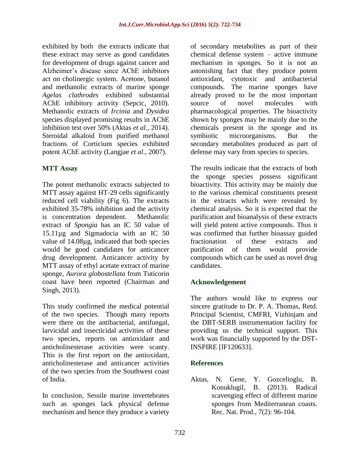exhibited by both the extracts indicate that these extract may serve as good candidates for development of drugs against cancer and Alzheimer's disease since AChE inhibitors act on cholinergic system. Acetone, butanol and methanolic extracts of marine sponge *Agelas clathrodes* exhibited substantial AChE inhibitory activity (Sepcic, 2010). Methanolic extracts of *Ircinia* and *Dysidea* species displayed promising results in AChE inhibition test over 50% (Aktas *et al*., 2014). Steroidal alkaloid from purified methanol fractions of Corticium species exhibited potent AChE activity (Langjae *et al*., 2007).

# **MTT Assay**

The potent methanolic extracts subjected to MTT assay against HT-29 cells significantly reduced cell viability (Fig 6). The extracts exhibited 35-78% inhibition and the activity is concentration dependent. Methanolic extract of *Spongia* has an IC 50 value of 15.11µg and Sigmadocia with an IC 50 value of 14.08µg, indicated that both species would be good candidates for anticancer drug development. Anticancer activity by MTT assay of ethyl acetate extract of marine sponge, *Aurora globostellata* from Tuticorin coast have been reported (Chairman and Singh, 2013).

This study confirmed the medical potential of the two species. Though many reports were there on the antibacterial, antifungal, larvicidal and insecticidal activities of these two species, reports on antioxidant and anticholinesterase activities were scanty. This is the first report on the antioxidant, anticholinesterase and anticancer activities of the two species from the Southwest coast of India.

In conclusion, Sessile marine invertebrates such as sponges lack physical defense mechanism and hence they produce a variety of secondary metabolites as part of their chemical defense system – active immune mechanism in sponges. So it is not an astonishing fact that they produce potent antioxidant, cytotoxic and antibacterial compounds. The marine sponges have already proved to be the most important source of novel molecules with pharmacological properties. The bioactivity shown by sponges may be mainly due to the chemicals present in the sponge and its symbiotic microorganisms. But the secondary metabolites produced as part of defense may vary from species to species.

The results indicate that the extracts of both the sponge species possess significant bioactivity. This activity may be mainly due to the various chemical constituents present in the extracts which were revealed by chemical analysis. So it is expected that the purification and bioanalysis of these extracts will yield potent active compounds. Thus it was confirmed that further bioassay guided fractionation of these extracts and purification of them would provide compounds which can be used as novel drug candidates.

# **Acknowledgement**

The authors would like to express our sincere gratitude to Dr. P. A. Thomas, Retd. Principal Scientist, CMFRI, Vizhinjam and the DBT-SERB instrumentation facility for providing us the technical support. This work was financially supported by the DST-INSPIRE [IF120633].

# **References**

Aktas, N. Gene, Y. Gozcelioglu, B. Konuklugil, B. (2013). Radical scavenging effect of different marine sponges from Mediterranean coasts. Rec. Nat. Prod., 7(2): 96-104.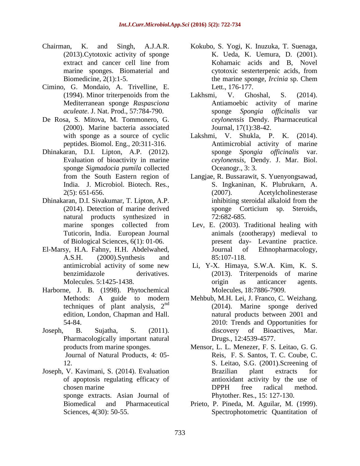- Chairman, K. and Singh, A.J.A.R. (2013).Cytotoxic activity of sponge extract and cancer cell line from marine sponges. Biomaterial and Biomedicine, 2(1):1-5.
- Cimino, G. Mondaio, A. Trivelline, E. (1994). Minor triterpenoids from the Mediterranean sponge *Raspasciona aculeate*. J. Nat. Prod., 57:784-790.
- De Rosa, S. Mitova, M. Tommonero, G. (2000). Marine bacteria associated with sponge as a source of cyclic peptides. Biomol. Eng., 20:311-316.
- Dhinakaran, D.I. Lipton, A.P. (2012). Evaluation of bioactivity in marine sponge *Sigmadocia pumila* collected from the South Eastern region of India. J. Microbiol. Biotech. Res., 2(5): 651-656.
- Dhinakaran, D.I. Sivakumar, T. Lipton, A.P. (2014). Detection of marine derived natural products synthesized in marine sponges collected from Tuticorin, India. European Journal of Biological Sciences, 6(1): 01-06.
- El-Marsy, H.A. Fahny, H.H. Abdelwahed, A.S.H. (2000).Synthesis and antimicrobial activity of some new benzimidazole derivatives. Molecules. 5:1425-1438.
- Harborne, J. B. (1998). Phytochemical Methods: A guide to modern techniques of plant analysis,  $2<sup>nd</sup>$ edition, London, Chapman and Hall. 54-84.
- Joseph, B. Sujatha, S. (2011). Pharmacologically important natural products from marine sponges. Journal of Natural Products, 4: 05- 12.
- Joseph, V. Kavimani, S. (2014). Evaluation of apoptosis regulating efficacy of chosen marine sponge extracts. Asian Journal of Biomedical and Pharmaceutical Sciences, 4(30): 50-55.
- Kokubo, S. Yogi, K. Inuzuka, T. Suenaga, K. Ueda, K. Uemura, D. (2001). Kohamaic acids and B, Novel cytotoxic sesterterpenic acids, from the marine sponge, *Ircinia* sp. Chem Lett., 176-177.
- Lakhsmi, V. Ghoshal, S. (2014). Antiamoebic activity of marine sponge *Spongia officinalis* var *ceylonensis* Dendy. Pharmaceutical Journal, 17(1):38-42.
- Lakshmi, V. Shukla, P. K. (2014). Antimicrobial activity of marine sponge *Spongia officinalis* var. *ceylonensis*, Dendy. J. Mar. Biol. Oceanogr., 3: 3.
- Langjae, R. Bussarawit, S. Yuenyongsawad, S. Ingkaninan, K. Plubrukarn, A. (2007). Acetylcholinesterase inhibiting steroidal alkaloid from the sponge Corticium sp. Steroids, 72:682-685.
- Lev, E. (2003). Traditional healing with animals (zootherapy) medieval to present day- Levantine practice. Journal of Ethnopharmacology, 85:107-118.
- Li, Y-X. Himaya, S.W.A. Kim, K. S. (2013). Triterpenoids of marine origin as anticancer agents. Molecules, 18:7886-7909.
- Mehbub, M.H. Lei, J. Franco, C. Weizhang. (2014). Marine sponge derived natural products between 2001 and 2010: Trends and Opportunities for discovery of Bioactives, Mar. Drugs., 12:4539-4577.
- Mensor, L. L. Menezer, F. S. Leitao, G. G. Reis, F. S. Santos, T. C. Coube, C. S. Leitao, S.G. (2001).Screening of Brazilian plant extracts for antioxidant activity by the use of DPPH free radical method. Phytother. Res., 15: 127-130.
- Prieto, P. Pineda, M. Aguilar, M. (1999). Spectrophotometric Quantitation of